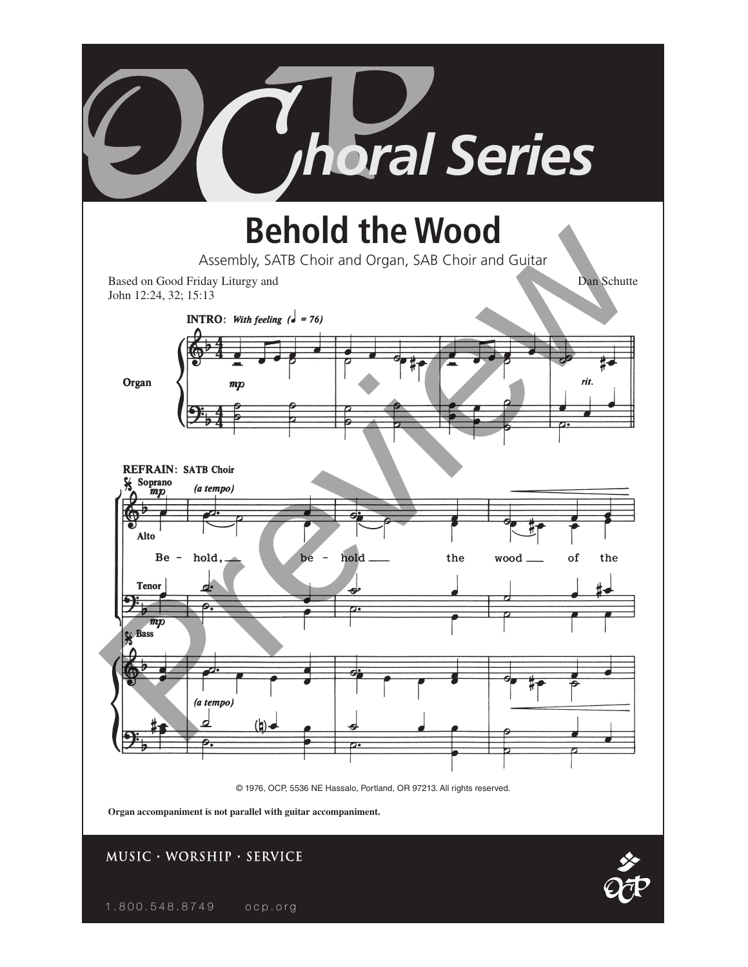

1.800.548.8749 ocp.org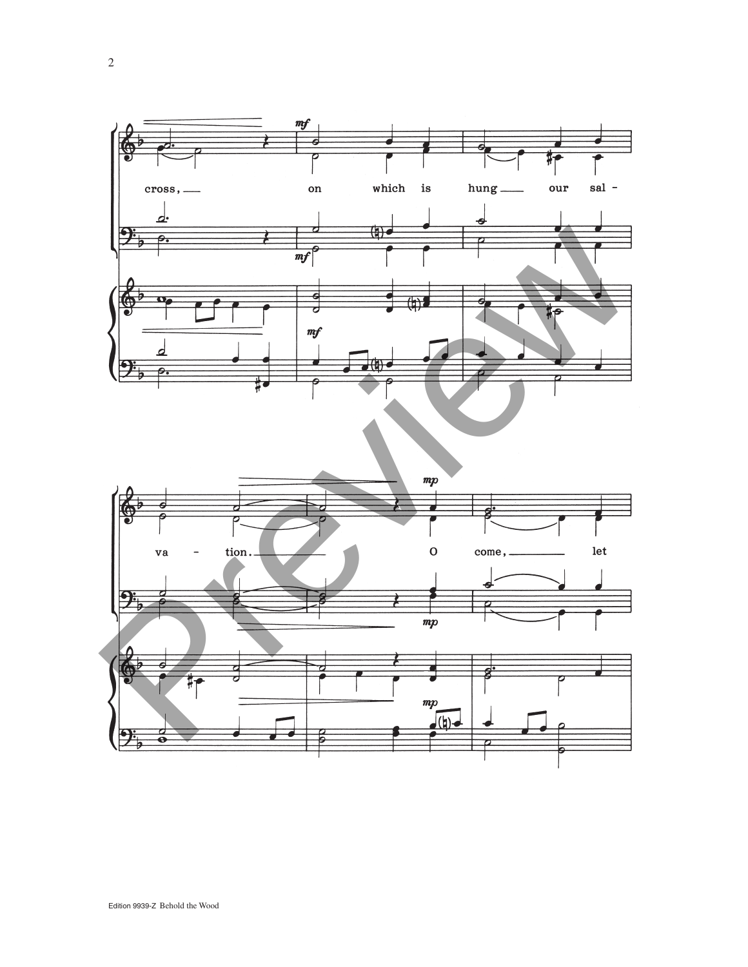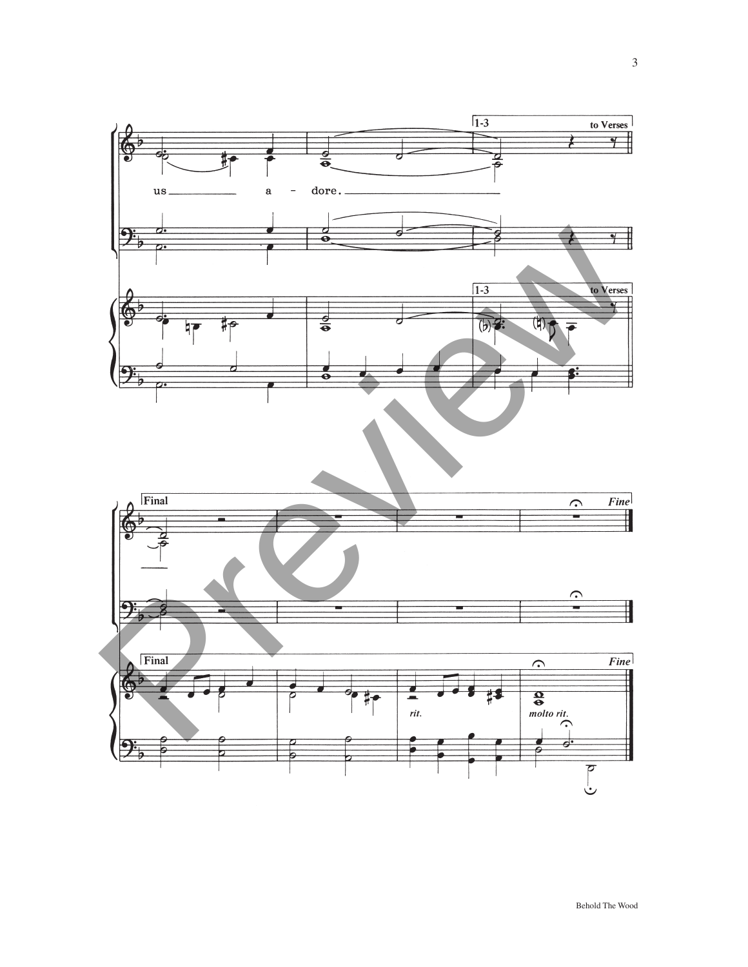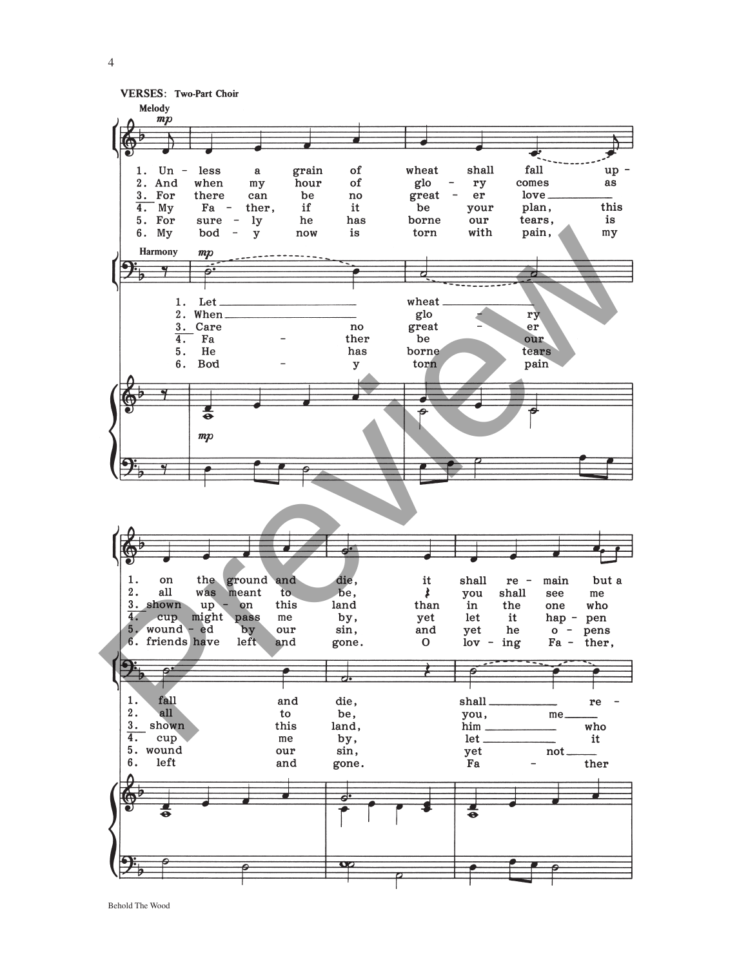

Behold The Wood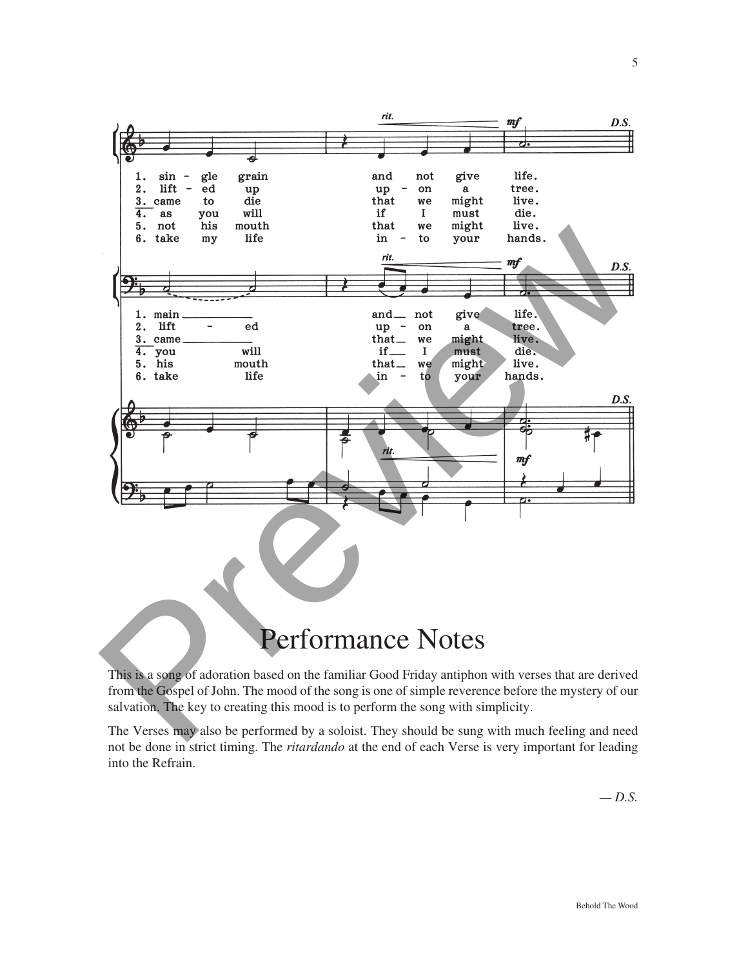

This is a song of adoration based on the familiar Good Friday antiphon with verses that are derived from the Gospel of John. The mood of the song is one of simple reverence before the mystery of our salvation. The key to creating this mood is to perform the song with simplicity.

The Verses may also be performed by a soloist. They should be sung with much feeling and need not be done in strict timing. The *ritardando* at the end of each Verse is very important for leading into the Refrain.

*— D.S.*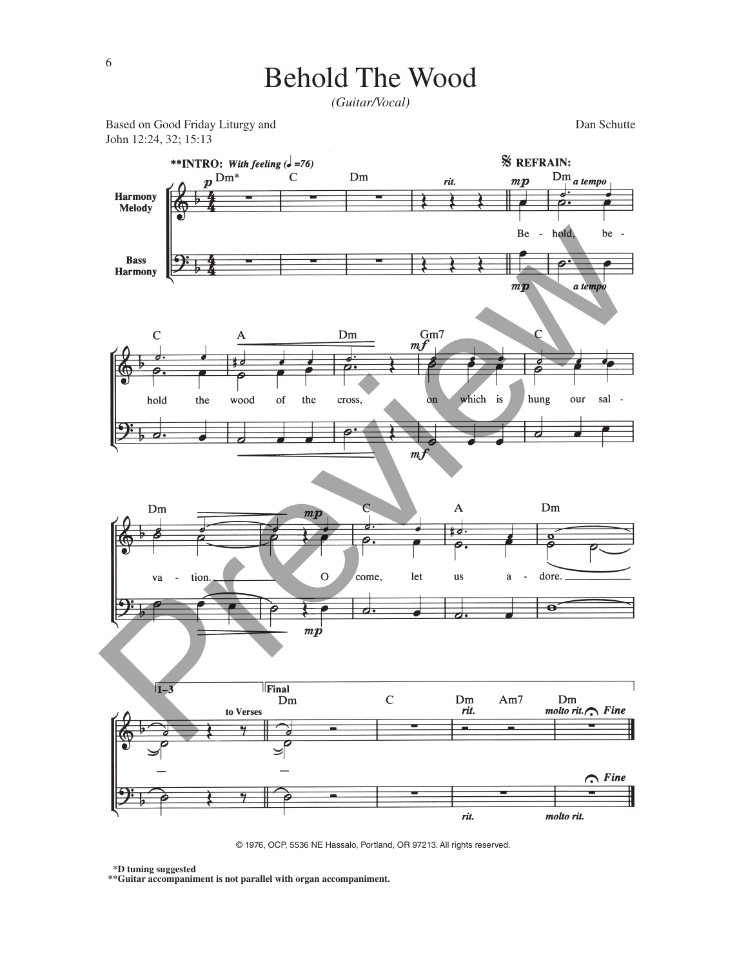## Behold The Wood

*(Guitar/Vocal)*

Based on Good Friday Liturgy and **Dan Schutte** Dan Schutte John 12:24, 32; 15:13



© 1976, OCP, 5536 NE Hassalo, Portland, OR 97213. All rights reserved.

**\*\*D tuning suggested**

**\*\*Guitar accompaniment is not parallel with organ accompaniment.**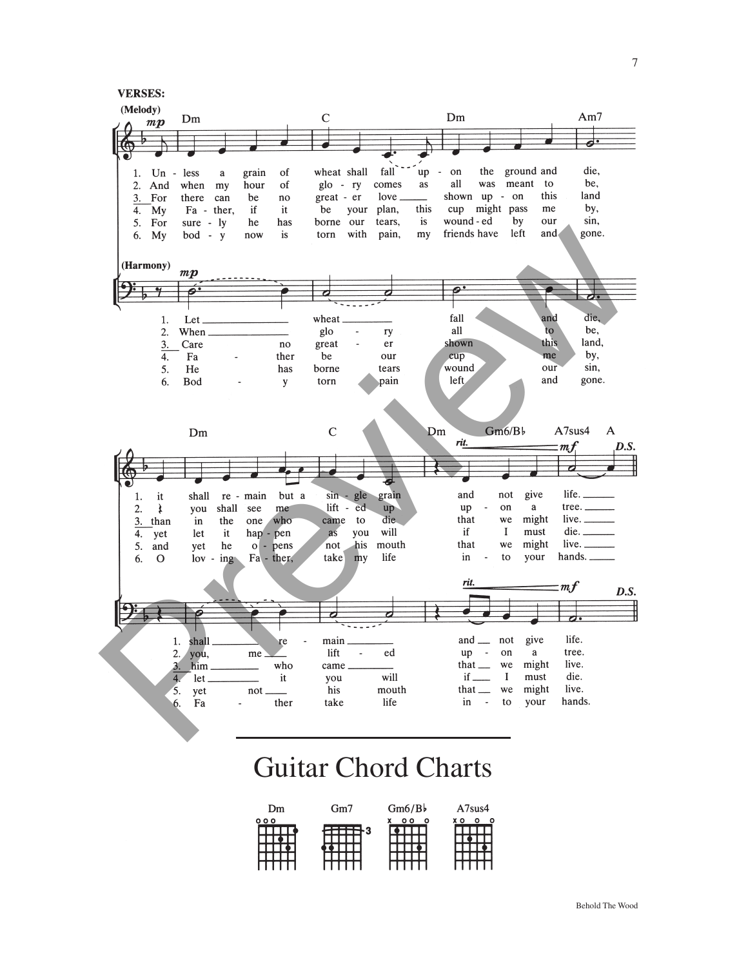

## Guitar Chord Charts

| Dm  | Gm7 | Gm6/Bb       | A7sus4 |
|-----|-----|--------------|--------|
| 000 | F3  | $\circ$<br>ο | o      |
|     |     |              |        |
|     |     |              |        |